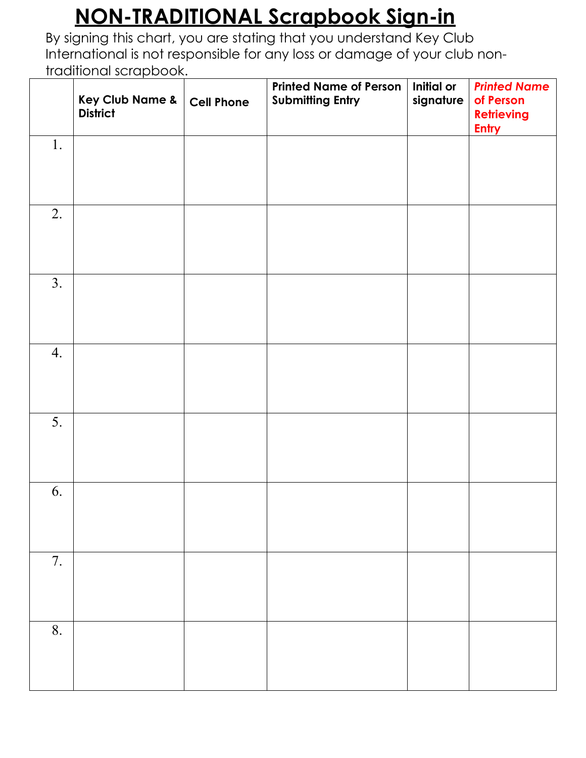|    | Key Club Name &<br><b>District</b> | <b>Cell Phone</b> | <b>Printed Name of Person</b><br><b>Submitting Entry</b> | Initial or<br>signature | <b>Printed Name</b><br>of Person<br><b>Retrieving</b><br><b>Entry</b> |
|----|------------------------------------|-------------------|----------------------------------------------------------|-------------------------|-----------------------------------------------------------------------|
| 1. |                                    |                   |                                                          |                         |                                                                       |
| 2. |                                    |                   |                                                          |                         |                                                                       |
| 3. |                                    |                   |                                                          |                         |                                                                       |
| 4. |                                    |                   |                                                          |                         |                                                                       |
| 5. |                                    |                   |                                                          |                         |                                                                       |
| 6. |                                    |                   |                                                          |                         |                                                                       |
| 7. |                                    |                   |                                                          |                         |                                                                       |
| 8. |                                    |                   |                                                          |                         |                                                                       |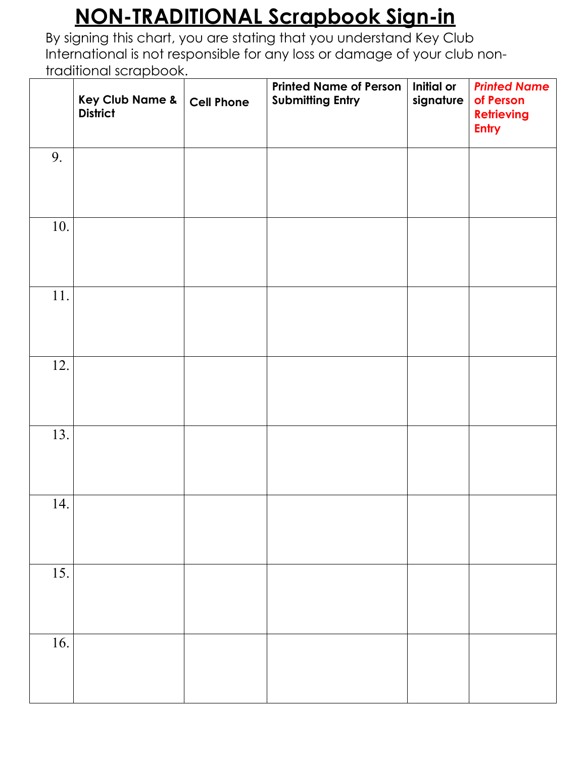|                   | Key Club Name &<br><b>District</b> | <b>Cell Phone</b> | <b>Printed Name of Person</b><br><b>Submitting Entry</b> | Initial or<br>signature | <b>Printed Name</b><br>of Person<br><b>Retrieving</b><br><b>Entry</b> |
|-------------------|------------------------------------|-------------------|----------------------------------------------------------|-------------------------|-----------------------------------------------------------------------|
| 9.                |                                    |                   |                                                          |                         |                                                                       |
| 10.               |                                    |                   |                                                          |                         |                                                                       |
| 11.               |                                    |                   |                                                          |                         |                                                                       |
| 12.               |                                    |                   |                                                          |                         |                                                                       |
| 13.               |                                    |                   |                                                          |                         |                                                                       |
| 14.               |                                    |                   |                                                          |                         |                                                                       |
| $\overline{15}$ . |                                    |                   |                                                          |                         |                                                                       |
| 16.               |                                    |                   |                                                          |                         |                                                                       |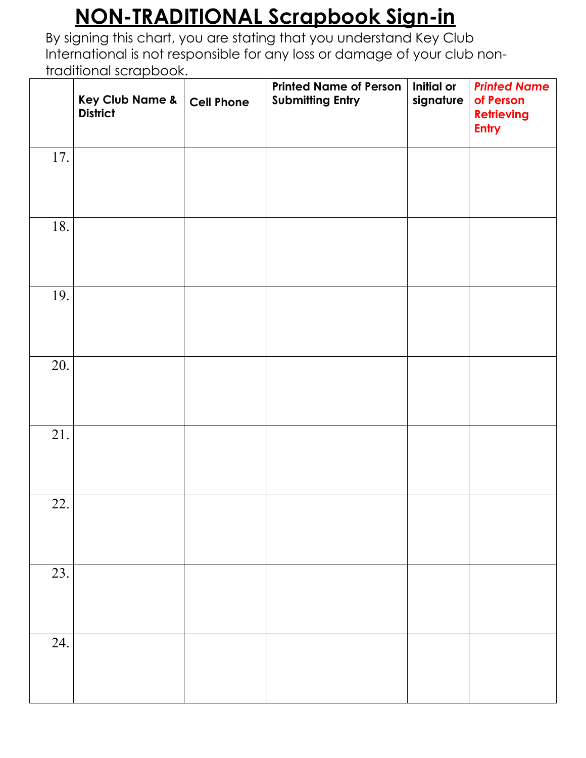|     | Key Club Name &<br><b>District</b> | <b>Cell Phone</b> | <b>Printed Name of Person</b><br><b>Submitting Entry</b> | Initial or<br>signature | <b>Printed Name</b><br>of Person<br><b>Retrieving</b><br><b>Entry</b> |
|-----|------------------------------------|-------------------|----------------------------------------------------------|-------------------------|-----------------------------------------------------------------------|
| 17. |                                    |                   |                                                          |                         |                                                                       |
| 18. |                                    |                   |                                                          |                         |                                                                       |
| 19. |                                    |                   |                                                          |                         |                                                                       |
| 20. |                                    |                   |                                                          |                         |                                                                       |
| 21. |                                    |                   |                                                          |                         |                                                                       |
| 22. |                                    |                   |                                                          |                         |                                                                       |
| 23. |                                    |                   |                                                          |                         |                                                                       |
| 24. |                                    |                   |                                                          |                         |                                                                       |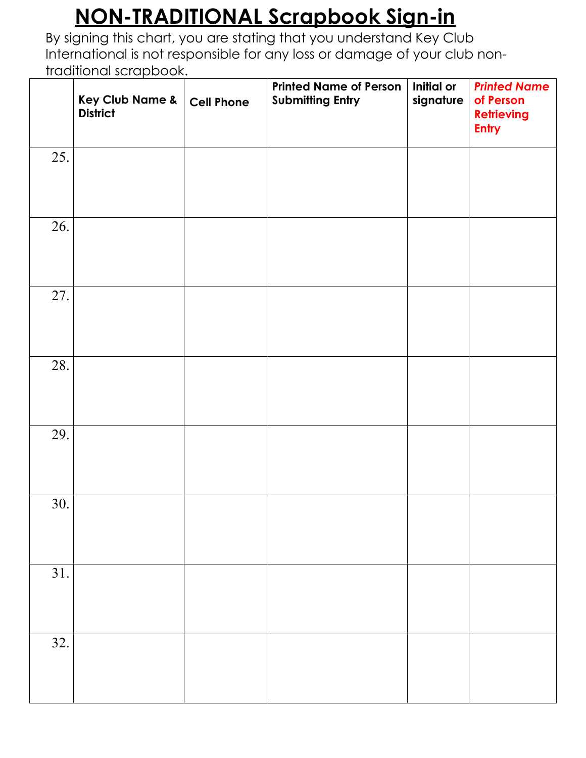|     | Key Club Name &<br><b>District</b> | <b>Cell Phone</b> | <b>Printed Name of Person</b><br><b>Submitting Entry</b> | Initial or<br>signature | <b>Printed Name</b><br>of Person<br><b>Retrieving</b><br><b>Entry</b> |
|-----|------------------------------------|-------------------|----------------------------------------------------------|-------------------------|-----------------------------------------------------------------------|
| 25. |                                    |                   |                                                          |                         |                                                                       |
| 26. |                                    |                   |                                                          |                         |                                                                       |
| 27. |                                    |                   |                                                          |                         |                                                                       |
| 28. |                                    |                   |                                                          |                         |                                                                       |
| 29. |                                    |                   |                                                          |                         |                                                                       |
| 30. |                                    |                   |                                                          |                         |                                                                       |
| 31. |                                    |                   |                                                          |                         |                                                                       |
| 32. |                                    |                   |                                                          |                         |                                                                       |